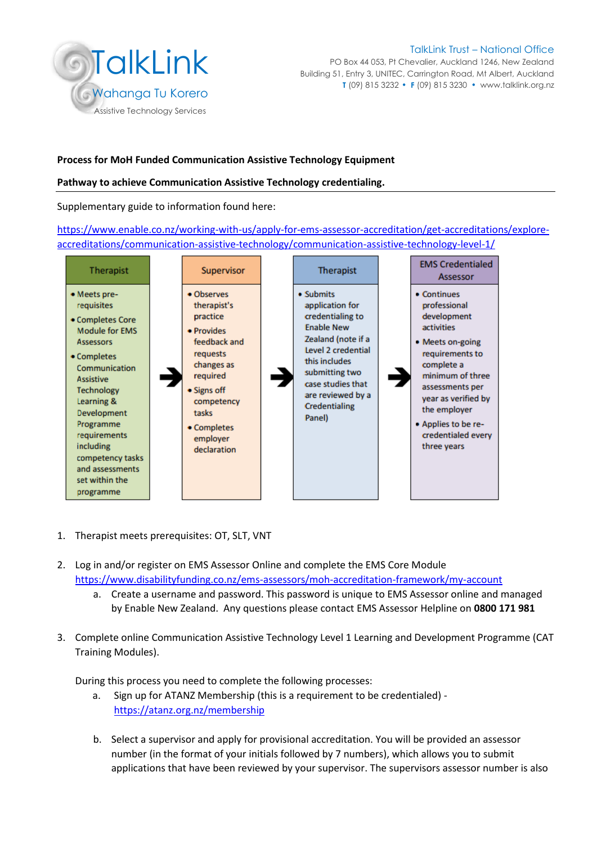

PO Box 44 053, Pt Chevalier, Auckland 1246, New Zealand Building 51, Entry 3, UNITEC, Carrington Road, Mt Albert, Auckland **T** (09) 815 3232⚫ **F** (09) 815 3230⚫ [www.talklink.org.nz](http://www.talklink.org.nz/)

### **Process for MoH Funded Communication Assistive Technology Equipment**

### **Pathway to achieve Communication Assistive Technology credentialing.**

Supplementary guide to information found here:

[https://www.enable.co.nz/working-with-us/apply-for-ems-assessor-accreditation/get-accreditations/explore](https://www.enable.co.nz/working-with-us/apply-for-ems-assessor-accreditation/get-accreditations/explore-accreditations/communication-assistive-technology/communication-assistive-technology-level-1/)[accreditations/communication-assistive-technology/communication-assistive-technology-level-1/](https://www.enable.co.nz/working-with-us/apply-for-ems-assessor-accreditation/get-accreditations/explore-accreditations/communication-assistive-technology/communication-assistive-technology-level-1/) 



- 1. Therapist meets prerequisites: OT, SLT, VNT
- 2. Log in and/or register on EMS Assessor Online and complete the EMS Core Module <https://www.disabilityfunding.co.nz/ems-assessors/moh-accreditation-framework/my-account>
	- a. Create a username and password. This password is unique to EMS Assessor online and managed by Enable New Zealand. Any questions please contact EMS Assessor Helpline on **0800 171 981**
- 3. Complete online Communication Assistive Technology Level 1 Learning and Development Programme (CAT Training Modules).

During this process you need to complete the following processes:

- a. Sign up for ATANZ Membership (this is a requirement to be credentialed) <https://atanz.org.nz/membership>
- b. Select a supervisor and apply for provisional accreditation. You will be provided an assessor number (in the format of your initials followed by 7 numbers), which allows you to submit applications that have been reviewed by your supervisor. The supervisors assessor number is also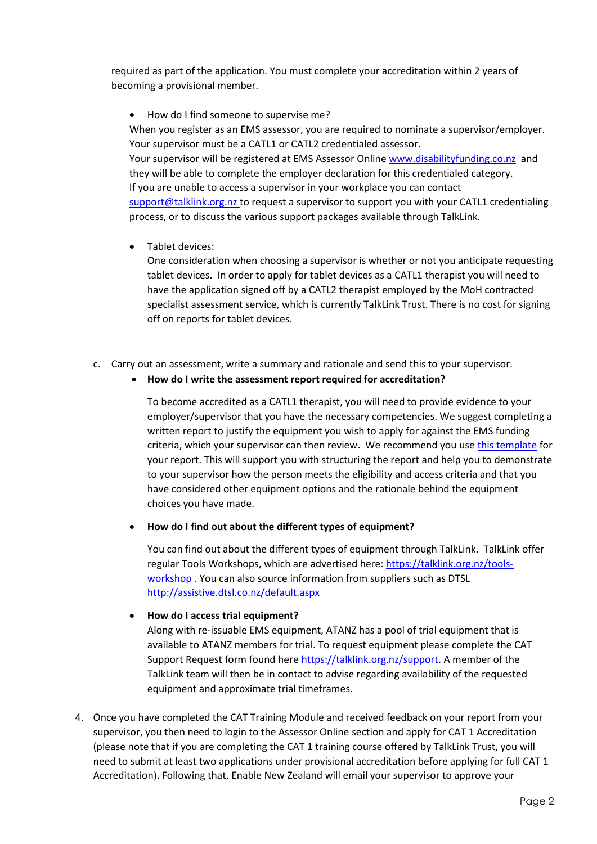required as part of the application. You must complete your accreditation within 2 years of becoming a provisional member.

• How do I find someone to supervise me?

When you register as an EMS assessor, you are required to nominate a supervisor/employer. Your supervisor must be a CATL1 or CATL2 credentialed assessor.

Your supervisor will be registered at EMS Assessor Online [www.disabilityfunding.co.nz](http://www.disabilityfunding.co.nz/) and they will be able to complete the employer declaration for this credentialed category. If you are unable to access a supervisor in your workplace you can contact [support@talklink.org.nz](mailto:support@talklink.org.nz) to request a supervisor to support you with your CATL1 credentialing process, or to discuss the various support packages available through TalkLink.

• Tablet devices:

One consideration when choosing a supervisor is whether or not you anticipate requesting tablet devices. In order to apply for tablet devices as a CATL1 therapist you will need to have the application signed off by a CATL2 therapist employed by the MoH contracted specialist assessment service, which is currently TalkLink Trust. There is no cost for signing off on reports for tablet devices.

c. Carry out an assessment, write a summary and rationale and send this to your supervisor.

## • **How do I write the assessment report required for accreditation?**

To become accredited as a CATL1 therapist, you will need to provide evidence to your employer/supervisor that you have the necessary competencies. We suggest completing a written report to justify the equipment you wish to apply for against the EMS funding criteria, which your supervisor can then review. We recommend you use [this template](https://talklink.org.nz/resources/cat-report-template) for your report. This will support you with structuring the report and help you to demonstrate to your supervisor how the person meets the eligibility and access criteria and that you have considered other equipment options and the rationale behind the equipment choices you have made.

• **How do I find out about the different types of equipment?** 

You can find out about the different types of equipment through TalkLink. TalkLink offer regular Tools Workshops, which are advertised here: [https://talklink.org.nz/tools](https://talklink.org.nz/tools-workshop)[workshop](https://talklink.org.nz/tools-workshop) . You can also source information from suppliers such as DTSL <http://assistive.dtsl.co.nz/default.aspx>

## • **How do I access trial equipment?**

Along with re-issuable EMS equipment, ATANZ has a pool of trial equipment that is available to ATANZ members for trial. To request equipment please complete the CAT Support Request form found her[e https://talklink.org.nz/support.](https://talklink.org.nz/support) A member of the TalkLink team will then be in contact to advise regarding availability of the requested equipment and approximate trial timeframes.

4. Once you have completed the CAT Training Module and received feedback on your report from your supervisor, you then need to login to the Assessor Online section and apply for CAT 1 Accreditation (please note that if you are completing the CAT 1 training course offered by TalkLink Trust, you will need to submit at least two applications under provisional accreditation before applying for full CAT 1 Accreditation). Following that, Enable New Zealand will email your supervisor to approve your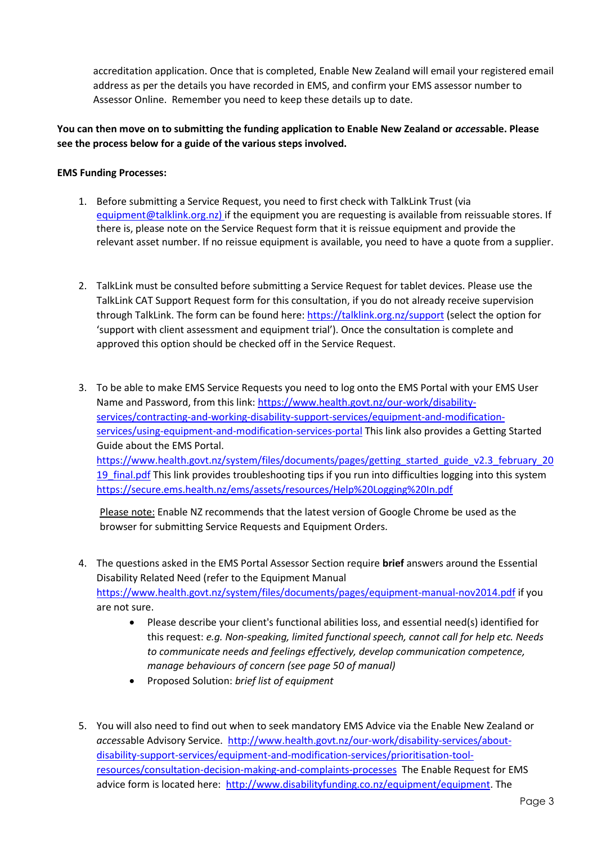accreditation application. Once that is completed, Enable New Zealand will email your registered email address as per the details you have recorded in EMS, and confirm your EMS assessor number to Assessor Online. Remember you need to keep these details up to date.

# **You can then move on to submitting the funding application to Enable New Zealand or** *access***able. Please see the process below for a guide of the various steps involved.**

### **EMS Funding Processes:**

- 1. Before submitting a Service Request, you need to first check with TalkLink Trust (via [equipment@talklink.org.nz\)](mailto:equipment@talklink.org.nz) if the equipment you are requesting is available from reissuable stores. If there is, please note on the Service Request form that it is reissue equipment and provide the relevant asset number. If no reissue equipment is available, you need to have a quote from a supplier.
- 2. TalkLink must be consulted before submitting a Service Request for tablet devices. Please use the TalkLink CAT Support Request form for this consultation, if you do not already receive supervision through TalkLink. The form can be found here:<https://talklink.org.nz/support> (select the option for 'support with client assessment and equipment trial'). Once the consultation is complete and approved this option should be checked off in the Service Request.
- 3. To be able to make EMS Service Requests you need to log onto the EMS Portal with your EMS User Name and Password, from this link: [https://www.health.govt.nz/our-work/disability](https://www.health.govt.nz/our-work/disability-services/contracting-and-working-disability-support-services/equipment-and-modification-services/using-equipment-and-modification-services-portal)[services/contracting-and-working-disability-support-services/equipment-and-modification](https://www.health.govt.nz/our-work/disability-services/contracting-and-working-disability-support-services/equipment-and-modification-services/using-equipment-and-modification-services-portal)[services/using-equipment-and-modification-services-portal](https://www.health.govt.nz/our-work/disability-services/contracting-and-working-disability-support-services/equipment-and-modification-services/using-equipment-and-modification-services-portal) This link also provides a Getting Started Guide about the EMS Portal. [https://www.health.govt.nz/system/files/documents/pages/getting\\_started\\_guide\\_v2.3\\_february\\_20](https://www.health.govt.nz/system/files/documents/pages/getting_started_guide_v2.3_february_2019_final.pdf) 19 final.pdf This link provides troubleshooting tips if you run into difficulties logging into this system <https://secure.ems.health.nz/ems/assets/resources/Help%20Logging%20In.pdf>

Please note: Enable NZ recommends that the latest version of Google Chrome be used as the browser for submitting Service Requests and Equipment Orders.

- 4. The questions asked in the EMS Portal Assessor Section require **brief** answers around the Essential Disability Related Need (refer to the Equipment Manual <https://www.health.govt.nz/system/files/documents/pages/equipment-manual-nov2014.pdf> if you are not sure.
	- Please describe your client's functional abilities loss, and essential need(s) identified for this request: *e.g. Non-speaking, limited functional speech, cannot call for help etc. Needs to communicate needs and feelings effectively, develop communication competence, manage behaviours of concern (see page 50 of manual)*
	- Proposed Solution: *brief list of equipment*
- 5. You will also need to find out when to seek mandatory EMS Advice via the Enable New Zealand or *access*able Advisory Service. [http://www.health.govt.nz/our-work/disability-services/about](http://www.health.govt.nz/our-work/disability-services/about-disability-support-services/equipment-and-modification-services/prioritisation-tool-resources/consultation-decision-making-and-complaints-processes)[disability-support-services/equipment-and-modification-services/prioritisation-tool](http://www.health.govt.nz/our-work/disability-services/about-disability-support-services/equipment-and-modification-services/prioritisation-tool-resources/consultation-decision-making-and-complaints-processes)[resources/consultation-decision-making-and-complaints-processes](http://www.health.govt.nz/our-work/disability-services/about-disability-support-services/equipment-and-modification-services/prioritisation-tool-resources/consultation-decision-making-and-complaints-processes) The Enable Request for EMS advice form is located here: [http://www.disabilityfunding.co.nz/equipment/equipment.](http://www.disabilityfunding.co.nz/equipment/equipment) The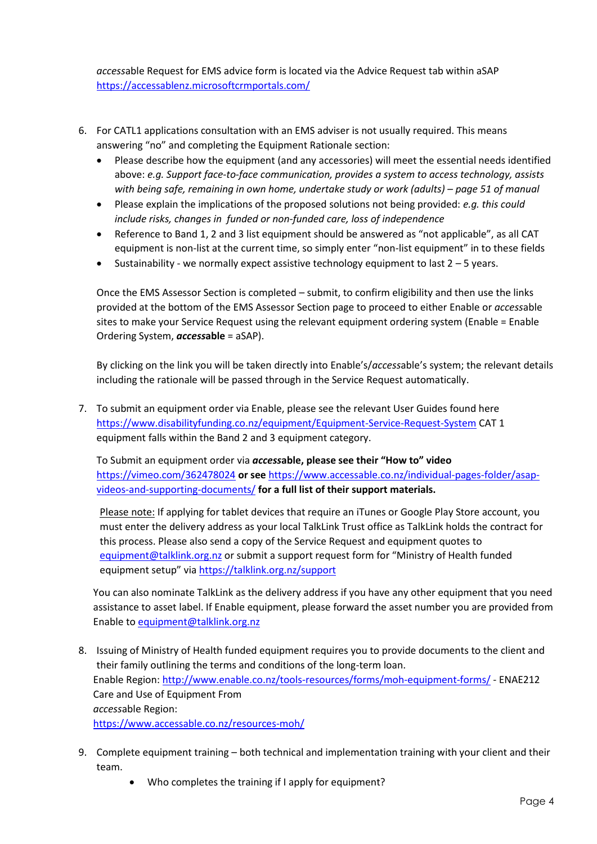*access*able Request for EMS advice form is located via the Advice Request tab within aSAP <https://accessablenz.microsoftcrmportals.com/>

- 6. For CATL1 applications consultation with an EMS adviser is not usually required. This means answering "no" and completing the Equipment Rationale section:
	- Please describe how the equipment (and any accessories) will meet the essential needs identified above: *e.g. Support face-to-face communication, provides a system to access technology, assists with being safe, remaining in own home, undertake study or work (adults) – page 51 of manual*
	- Please explain the implications of the proposed solutions not being provided: *e.g. this could include risks, changes in funded or non-funded care, loss of independence*
	- Reference to Band 1, 2 and 3 list equipment should be answered as "not applicable", as all CAT equipment is non-list at the current time, so simply enter "non-list equipment" in to these fields
	- Sustainability we normally expect assistive technology equipment to last  $2 5$  years.

Once the EMS Assessor Section is completed – submit, to confirm eligibility and then use the links provided at the bottom of the EMS Assessor Section page to proceed to either Enable or *access*able sites to make your Service Request using the relevant equipment ordering system (Enable = Enable Ordering System, *access***able** = aSAP).

By clicking on the link you will be taken directly into Enable's/*access*able's system; the relevant details including the rationale will be passed through in the Service Request automatically.

7. To submit an equipment order via Enable, please see the relevant User Guides found here <https://www.disabilityfunding.co.nz/equipment/Equipment-Service-Request-System> CAT 1 equipment falls within the Band 2 and 3 equipment category.

To Submit an equipment order via *access***able, please see their "How to" video**  <https://vimeo.com/362478024> **or see** [https://www.accessable.co.nz/individual-pages-folder/asap](https://www.accessable.co.nz/individual-pages-folder/asap-videos-and-supporting-documents/)[videos-and-supporting-documents/](https://www.accessable.co.nz/individual-pages-folder/asap-videos-and-supporting-documents/) **for a full list of their support materials.** 

Please note: If applying for tablet devices that require an iTunes or Google Play Store account, you must enter the delivery address as your local TalkLink Trust office as TalkLink holds the contract for this process. Please also send a copy of the Service Request and equipment quotes to [equipment@talklink.org.nz](mailto:equipment@talklink.org.nz) or submit a support request form for "Ministry of Health funded equipment setup" via <https://talklink.org.nz/support>

You can also nominate TalkLink as the delivery address if you have any other equipment that you need assistance to asset label. If Enable equipment, please forward the asset number you are provided from Enable t[o equipment@talklink.org.nz](mailto:equipment@talklink.org.nz)

- 8. Issuing of Ministry of Health funded equipment requires you to provide documents to the client and their family outlining the terms and conditions of the long-term loan. Enable Region:<http://www.enable.co.nz/tools-resources/forms/moh-equipment-forms/> - ENAE212 Care and Use of Equipment From *access*able Region: <https://www.accessable.co.nz/resources-moh/>
- 9. Complete equipment training both technical and implementation training with your client and their team.
	- Who completes the training if I apply for equipment?